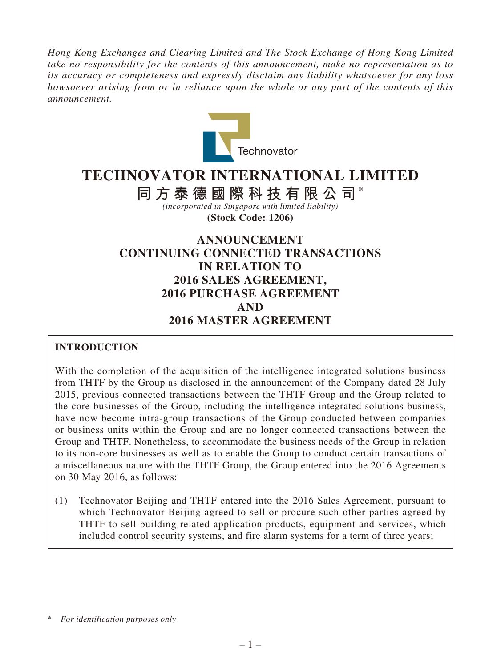*Hong Kong Exchanges and Clearing Limited and The Stock Exchange of Hong Kong Limited take no responsibility for the contents of this announcement, make no representation as to its accuracy or completeness and expressly disclaim any liability whatsoever for any loss howsoever arising from or in reliance upon the whole or any part of the contents of this announcement.*



# **TECHNOVATOR INTERNATIONAL LIMITED**

**同方泰德國際科技有限公司**\* *(incorporated in Singapore with limited liability)*

**(Stock Code: 1206)**

# **ANNOUNCEMENT CONTINUING CONNECTED TRANSACTIONS IN RELATION TO 2016 SALES AGREEMENT, 2016 PURCHASE AGREEMENT AND 2016 MASTER AGREEMENT**

# **INTRODUCTION**

With the completion of the acquisition of the intelligence integrated solutions business from THTF by the Group as disclosed in the announcement of the Company dated 28 July 2015, previous connected transactions between the THTF Group and the Group related to the core businesses of the Group, including the intelligence integrated solutions business, have now become intra-group transactions of the Group conducted between companies or business units within the Group and are no longer connected transactions between the Group and THTF. Nonetheless, to accommodate the business needs of the Group in relation to its non-core businesses as well as to enable the Group to conduct certain transactions of a miscellaneous nature with the THTF Group, the Group entered into the 2016 Agreements on 30 May 2016, as follows:

(1) Technovator Beijing and THTF entered into the 2016 Sales Agreement, pursuant to which Technovator Beijing agreed to sell or procure such other parties agreed by THTF to sell building related application products, equipment and services, which included control security systems, and fire alarm systems for a term of three years;

<sup>\*</sup> *For identification purposes only*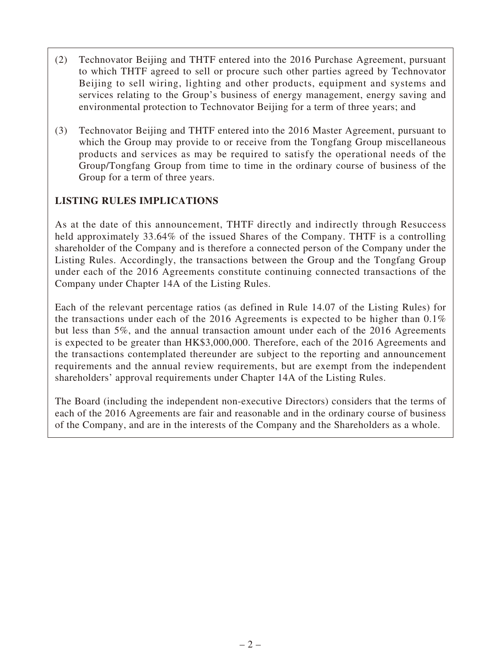- (2) Technovator Beijing and THTF entered into the 2016 Purchase Agreement, pursuant to which THTF agreed to sell or procure such other parties agreed by Technovator Beijing to sell wiring, lighting and other products, equipment and systems and services relating to the Group's business of energy management, energy saving and environmental protection to Technovator Beijing for a term of three years; and
- (3) Technovator Beijing and THTF entered into the 2016 Master Agreement, pursuant to which the Group may provide to or receive from the Tongfang Group miscellaneous products and services as may be required to satisfy the operational needs of the Group/Tongfang Group from time to time in the ordinary course of business of the Group for a term of three years.

# **LISTING RULES IMPLICATIONS**

As at the date of this announcement, THTF directly and indirectly through Resuccess held approximately 33.64% of the issued Shares of the Company. THTF is a controlling shareholder of the Company and is therefore a connected person of the Company under the Listing Rules. Accordingly, the transactions between the Group and the Tongfang Group under each of the 2016 Agreements constitute continuing connected transactions of the Company under Chapter 14A of the Listing Rules.

Each of the relevant percentage ratios (as defined in Rule 14.07 of the Listing Rules) for the transactions under each of the 2016 Agreements is expected to be higher than 0.1% but less than 5%, and the annual transaction amount under each of the 2016 Agreements is expected to be greater than HK\$3,000,000. Therefore, each of the 2016 Agreements and the transactions contemplated thereunder are subject to the reporting and announcement requirements and the annual review requirements, but are exempt from the independent shareholders' approval requirements under Chapter 14A of the Listing Rules.

The Board (including the independent non-executive Directors) considers that the terms of each of the 2016 Agreements are fair and reasonable and in the ordinary course of business of the Company, and are in the interests of the Company and the Shareholders as a whole.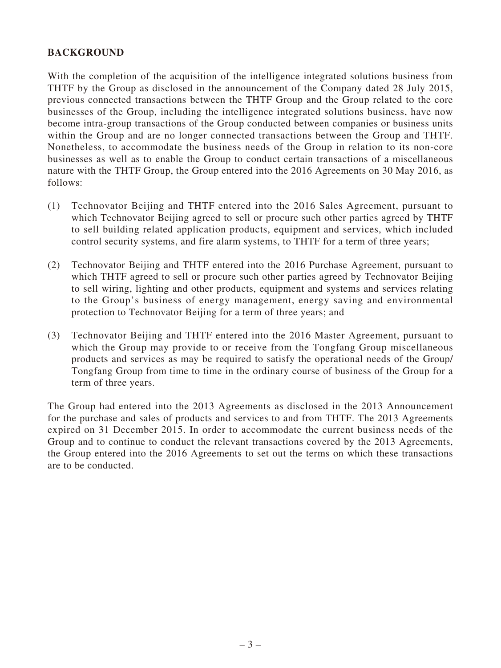### **BACKGROUND**

With the completion of the acquisition of the intelligence integrated solutions business from THTF by the Group as disclosed in the announcement of the Company dated 28 July 2015, previous connected transactions between the THTF Group and the Group related to the core businesses of the Group, including the intelligence integrated solutions business, have now become intra-group transactions of the Group conducted between companies or business units within the Group and are no longer connected transactions between the Group and THTF. Nonetheless, to accommodate the business needs of the Group in relation to its non-core businesses as well as to enable the Group to conduct certain transactions of a miscellaneous nature with the THTF Group, the Group entered into the 2016 Agreements on 30 May 2016, as follows:

- (1) Technovator Beijing and THTF entered into the 2016 Sales Agreement, pursuant to which Technovator Beijing agreed to sell or procure such other parties agreed by THTF to sell building related application products, equipment and services, which included control security systems, and fire alarm systems, to THTF for a term of three years;
- (2) Technovator Beijing and THTF entered into the 2016 Purchase Agreement, pursuant to which THTF agreed to sell or procure such other parties agreed by Technovator Beijing to sell wiring, lighting and other products, equipment and systems and services relating to the Group's business of energy management, energy saving and environmental protection to Technovator Beijing for a term of three years; and
- (3) Technovator Beijing and THTF entered into the 2016 Master Agreement, pursuant to which the Group may provide to or receive from the Tongfang Group miscellaneous products and services as may be required to satisfy the operational needs of the Group/ Tongfang Group from time to time in the ordinary course of business of the Group for a term of three years.

The Group had entered into the 2013 Agreements as disclosed in the 2013 Announcement for the purchase and sales of products and services to and from THTF. The 2013 Agreements expired on 31 December 2015. In order to accommodate the current business needs of the Group and to continue to conduct the relevant transactions covered by the 2013 Agreements, the Group entered into the 2016 Agreements to set out the terms on which these transactions are to be conducted.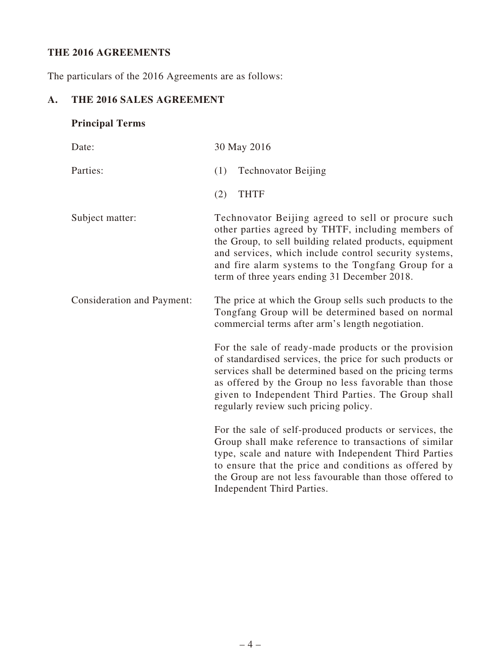# **THE 2016 AGREEMENTS**

The particulars of the 2016 Agreements are as follows:

# **A. THE 2016 SALES AGREEMENT**

# **Principal Terms**

| Date:                      | 30 May 2016                                                                                                                                                                                                                                                                                                                         |
|----------------------------|-------------------------------------------------------------------------------------------------------------------------------------------------------------------------------------------------------------------------------------------------------------------------------------------------------------------------------------|
| Parties:                   | (1)<br><b>Technovator Beijing</b>                                                                                                                                                                                                                                                                                                   |
|                            | <b>THTF</b><br>(2)                                                                                                                                                                                                                                                                                                                  |
| Subject matter:            | Technovator Beijing agreed to sell or procure such<br>other parties agreed by THTF, including members of<br>the Group, to sell building related products, equipment<br>and services, which include control security systems,<br>and fire alarm systems to the Tongfang Group for a<br>term of three years ending 31 December 2018.  |
| Consideration and Payment: | The price at which the Group sells such products to the<br>Tongfang Group will be determined based on normal<br>commercial terms after arm's length negotiation.                                                                                                                                                                    |
|                            | For the sale of ready-made products or the provision<br>of standardised services, the price for such products or<br>services shall be determined based on the pricing terms<br>as offered by the Group no less favorable than those<br>given to Independent Third Parties. The Group shall<br>regularly review such pricing policy. |
|                            | For the sale of self-produced products or services, the<br>Group shall make reference to transactions of similar<br>type, scale and nature with Independent Third Parties<br>to ensure that the price and conditions as offered by<br>the Group are not less favourable than those offered to<br>Independent Third Parties.         |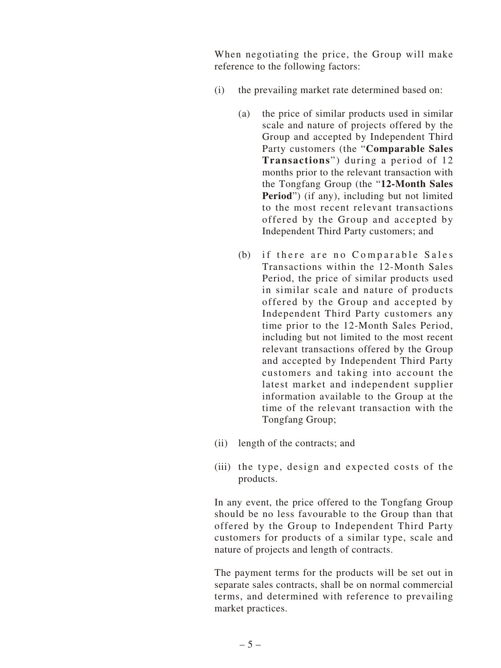When negotiating the price, the Group will make reference to the following factors:

- (i) the prevailing market rate determined based on:
	- (a) the price of similar products used in similar scale and nature of projects offered by the Group and accepted by Independent Third Party customers (the "**Comparable Sales Transactions**") during a period of 12 months prior to the relevant transaction with the Tongfang Group (the "**12-Month Sales Period**") (if any), including but not limited to the most recent relevant transactions offered by the Group and accepted by Independent Third Party customers; and
	- (b) if there are no Comparable Sales Transactions within the 12-Month Sales Period, the price of similar products used in similar scale and nature of products offered by the Group and accepted by Independent Third Party customers any time prior to the 12-Month Sales Period, including but not limited to the most recent relevant transactions offered by the Group and accepted by Independent Third Party customers and taking into account the latest market and independent supplier information available to the Group at the time of the relevant transaction with the Tongfang Group;
- (ii) length of the contracts; and
- (iii) the type, design and expected costs of the products.

In any event, the price offered to the Tongfang Group should be no less favourable to the Group than that offered by the Group to Independent Third Party customers for products of a similar type, scale and nature of projects and length of contracts.

The payment terms for the products will be set out in separate sales contracts, shall be on normal commercial terms, and determined with reference to prevailing market practices.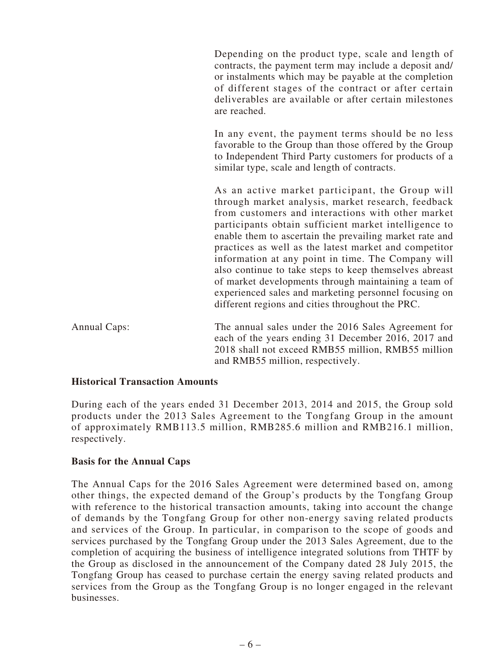Depending on the product type, scale and length of contracts, the payment term may include a deposit and/ or instalments which may be payable at the completion of different stages of the contract or after certain deliverables are available or after certain milestones are reached.

In any event, the payment terms should be no less favorable to the Group than those offered by the Group to Independent Third Party customers for products of a similar type, scale and length of contracts.

As an active market participant, the Group will through market analysis, market research, feedback from customers and interactions with other market participants obtain sufficient market intelligence to enable them to ascertain the prevailing market rate and practices as well as the latest market and competitor information at any point in time. The Company will also continue to take steps to keep themselves abreast of market developments through maintaining a team of experienced sales and marketing personnel focusing on different regions and cities throughout the PRC.

Annual Caps: The annual sales under the 2016 Sales Agreement for each of the years ending 31 December 2016, 2017 and 2018 shall not exceed RMB55 million, RMB55 million and RMB55 million, respectively.

#### **Historical Transaction Amounts**

During each of the years ended 31 December 2013, 2014 and 2015, the Group sold products under the 2013 Sales Agreement to the Tongfang Group in the amount of approximately RMB113.5 million, RMB285.6 million and RMB216.1 million, respectively.

#### **Basis for the Annual Caps**

The Annual Caps for the 2016 Sales Agreement were determined based on, among other things, the expected demand of the Group's products by the Tongfang Group with reference to the historical transaction amounts, taking into account the change of demands by the Tongfang Group for other non-energy saving related products and services of the Group. In particular, in comparison to the scope of goods and services purchased by the Tongfang Group under the 2013 Sales Agreement, due to the completion of acquiring the business of intelligence integrated solutions from THTF by the Group as disclosed in the announcement of the Company dated 28 July 2015, the Tongfang Group has ceased to purchase certain the energy saving related products and services from the Group as the Tongfang Group is no longer engaged in the relevant businesses.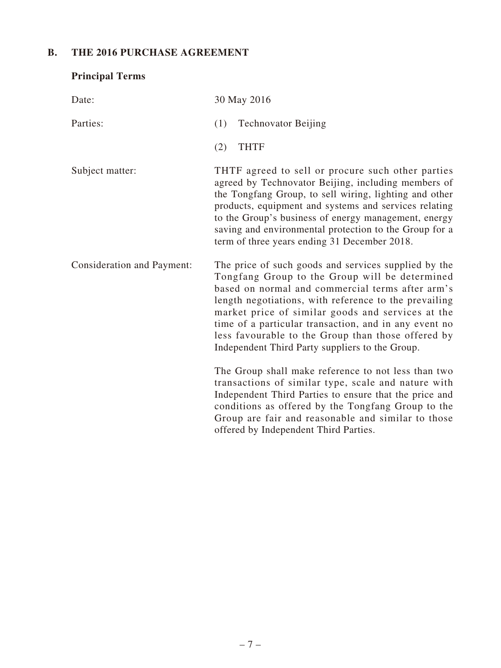# **B. THE 2016 PURCHASE AGREEMENT**

| <b>Principal Terms</b>            |                                                                                                                                                                                                                                                                                                                                                                                                                                            |
|-----------------------------------|--------------------------------------------------------------------------------------------------------------------------------------------------------------------------------------------------------------------------------------------------------------------------------------------------------------------------------------------------------------------------------------------------------------------------------------------|
| Date:                             | 30 May 2016                                                                                                                                                                                                                                                                                                                                                                                                                                |
| Parties:                          | (1)<br><b>Technovator Beijing</b>                                                                                                                                                                                                                                                                                                                                                                                                          |
|                                   | <b>THTF</b><br>(2)                                                                                                                                                                                                                                                                                                                                                                                                                         |
| Subject matter:                   | THTF agreed to sell or procure such other parties<br>agreed by Technovator Beijing, including members of<br>the Tongfang Group, to sell wiring, lighting and other<br>products, equipment and systems and services relating<br>to the Group's business of energy management, energy<br>saving and environmental protection to the Group for a<br>term of three years ending 31 December 2018.                                              |
| <b>Consideration and Payment:</b> | The price of such goods and services supplied by the<br>Tongfang Group to the Group will be determined<br>based on normal and commercial terms after arm's<br>length negotiations, with reference to the prevailing<br>market price of similar goods and services at the<br>time of a particular transaction, and in any event no<br>less favourable to the Group than those offered by<br>Independent Third Party suppliers to the Group. |
|                                   | The Group shall make reference to not less than two<br>transactions of similar type, scale and nature with<br>Independent Third Parties to ensure that the price and<br>conditions as offered by the Tongfang Group to the<br>Group are fair and reasonable and similar to those<br>offered by Independent Third Parties.                                                                                                                  |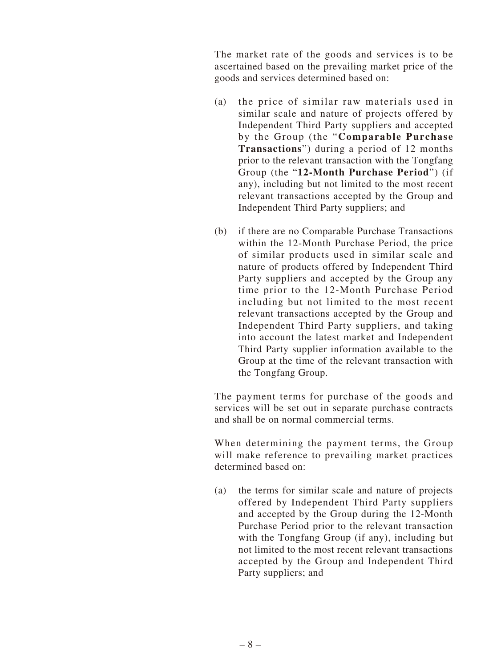The market rate of the goods and services is to be ascertained based on the prevailing market price of the goods and services determined based on:

- (a) the price of similar raw materials used in similar scale and nature of projects offered by Independent Third Party suppliers and accepted by the Group (the "**Comparable Purchase Transactions**") during a period of 12 months prior to the relevant transaction with the Tongfang Group (the "**12-Month Purchase Period**") (if any), including but not limited to the most recent relevant transactions accepted by the Group and Independent Third Party suppliers; and
- (b) if there are no Comparable Purchase Transactions within the 12-Month Purchase Period, the price of similar products used in similar scale and nature of products offered by Independent Third Party suppliers and accepted by the Group any time prior to the 12-Month Purchase Period including but not limited to the most recent relevant transactions accepted by the Group and Independent Third Party suppliers, and taking into account the latest market and Independent Third Party supplier information available to the Group at the time of the relevant transaction with the Tongfang Group.

The payment terms for purchase of the goods and services will be set out in separate purchase contracts and shall be on normal commercial terms.

When determining the payment terms, the Group will make reference to prevailing market practices determined based on:

(a) the terms for similar scale and nature of projects offered by Independent Third Party suppliers and accepted by the Group during the 12-Month Purchase Period prior to the relevant transaction with the Tongfang Group (if any), including but not limited to the most recent relevant transactions accepted by the Group and Independent Third Party suppliers; and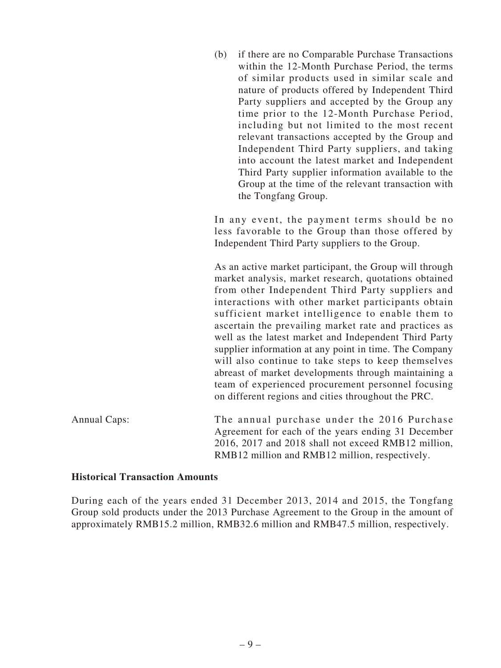(b) if there are no Comparable Purchase Transactions within the 12-Month Purchase Period, the terms of similar products used in similar scale and nature of products offered by Independent Third Party suppliers and accepted by the Group any time prior to the 12-Month Purchase Period, including but not limited to the most recent relevant transactions accepted by the Group and Independent Third Party suppliers, and taking into account the latest market and Independent Third Party supplier information available to the Group at the time of the relevant transaction with the Tongfang Group.

In any event, the payment terms should be no less favorable to the Group than those offered by Independent Third Party suppliers to the Group.

As an active market participant, the Group will through market analysis, market research, quotations obtained from other Independent Third Party suppliers and interactions with other market participants obtain sufficient market intelligence to enable them to ascertain the prevailing market rate and practices as well as the latest market and Independent Third Party supplier information at any point in time. The Company will also continue to take steps to keep themselves abreast of market developments through maintaining a team of experienced procurement personnel focusing on different regions and cities throughout the PRC.

Annual Caps: The annual purchase under the 2016 Purchase Agreement for each of the years ending 31 December 2016, 2017 and 2018 shall not exceed RMB12 million, RMB12 million and RMB12 million, respectively.

#### **Historical Transaction Amounts**

During each of the years ended 31 December 2013, 2014 and 2015, the Tongfang Group sold products under the 2013 Purchase Agreement to the Group in the amount of approximately RMB15.2 million, RMB32.6 million and RMB47.5 million, respectively.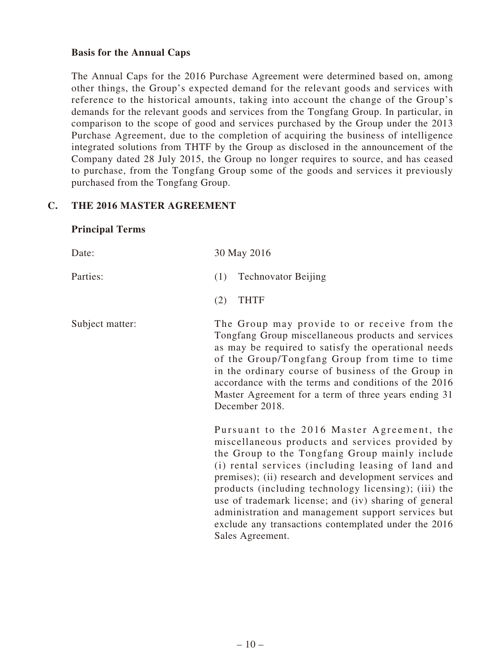#### **Basis for the Annual Caps**

The Annual Caps for the 2016 Purchase Agreement were determined based on, among other things, the Group's expected demand for the relevant goods and services with reference to the historical amounts, taking into account the change of the Group's demands for the relevant goods and services from the Tongfang Group. In particular, in comparison to the scope of good and services purchased by the Group under the 2013 Purchase Agreement, due to the completion of acquiring the business of intelligence integrated solutions from THTF by the Group as disclosed in the announcement of the Company dated 28 July 2015, the Group no longer requires to source, and has ceased to purchase, from the Tongfang Group some of the goods and services it previously purchased from the Tongfang Group.

#### **C. THE 2016 MASTER AGREEMENT**

#### **Principal Terms**

| Date:           | 30 May 2016                                                                                                                                                                                                                                                                                                                                                                                                                                                                                                       |
|-----------------|-------------------------------------------------------------------------------------------------------------------------------------------------------------------------------------------------------------------------------------------------------------------------------------------------------------------------------------------------------------------------------------------------------------------------------------------------------------------------------------------------------------------|
| Parties:        | <b>Technovator Beijing</b><br>(1)                                                                                                                                                                                                                                                                                                                                                                                                                                                                                 |
|                 | <b>THTF</b><br>(2)                                                                                                                                                                                                                                                                                                                                                                                                                                                                                                |
| Subject matter: | The Group may provide to or receive from the<br>Tongfang Group miscellaneous products and services<br>as may be required to satisfy the operational needs<br>of the Group/Tongfang Group from time to time<br>in the ordinary course of business of the Group in<br>accordance with the terms and conditions of the 2016<br>Master Agreement for a term of three years ending 31<br>December 2018.                                                                                                                |
|                 | Pursuant to the 2016 Master Agreement, the<br>miscellaneous products and services provided by<br>the Group to the Tongfang Group mainly include<br>(i) rental services (including leasing of land and<br>premises); (ii) research and development services and<br>products (including technology licensing); (iii) the<br>use of trademark license; and (iv) sharing of general<br>administration and management support services but<br>exclude any transactions contemplated under the 2016<br>Sales Agreement. |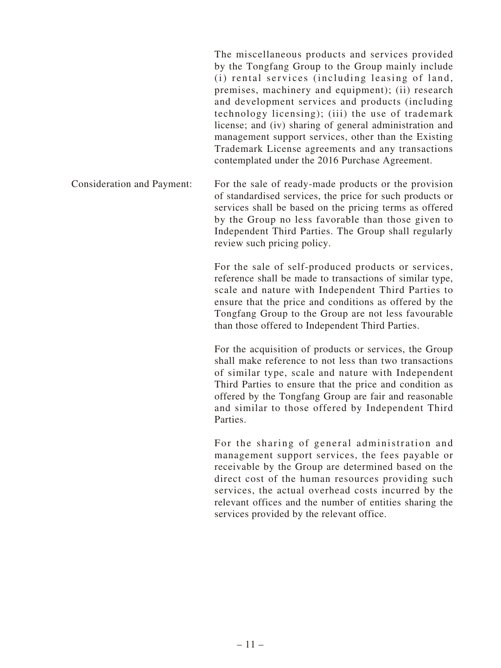The miscellaneous products and services provided by the Tongfang Group to the Group mainly include (i) rental services (including leasing of land, premises, machinery and equipment); (ii) research and development services and products (including technology licensing); (iii) the use of trademark license; and (iv) sharing of general administration and management support services, other than the Existing Trademark License agreements and any transactions contemplated under the 2016 Purchase Agreement.

Consideration and Payment: For the sale of ready-made products or the provision of standardised services, the price for such products or services shall be based on the pricing terms as offered by the Group no less favorable than those given to Independent Third Parties. The Group shall regularly review such pricing policy.

> For the sale of self-produced products or services, reference shall be made to transactions of similar type, scale and nature with Independent Third Parties to ensure that the price and conditions as offered by the Tongfang Group to the Group are not less favourable than those offered to Independent Third Parties.

> For the acquisition of products or services, the Group shall make reference to not less than two transactions of similar type, scale and nature with Independent Third Parties to ensure that the price and condition as offered by the Tongfang Group are fair and reasonable and similar to those offered by Independent Third Parties.

> For the sharing of general administration and management support services, the fees payable or receivable by the Group are determined based on the direct cost of the human resources providing such services, the actual overhead costs incurred by the relevant offices and the number of entities sharing the services provided by the relevant office.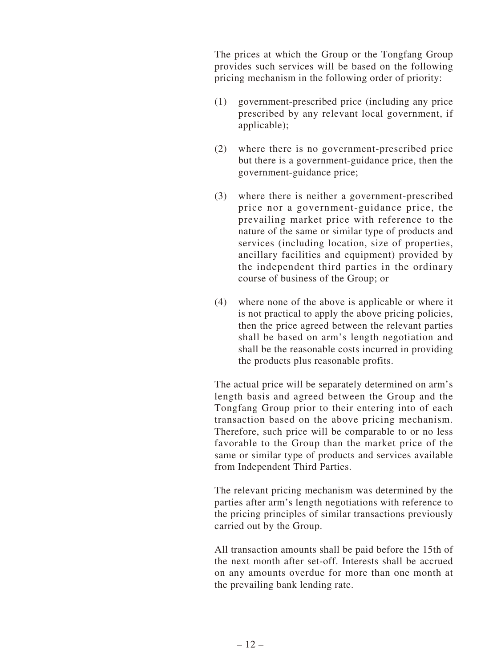The prices at which the Group or the Tongfang Group provides such services will be based on the following pricing mechanism in the following order of priority:

- (1) government-prescribed price (including any price prescribed by any relevant local government, if applicable);
- (2) where there is no government-prescribed price but there is a government-guidance price, then the government-guidance price;
- (3) where there is neither a government-prescribed price nor a government-guidance price, the prevailing market price with reference to the nature of the same or similar type of products and services (including location, size of properties, ancillary facilities and equipment) provided by the independent third parties in the ordinary course of business of the Group; or
- (4) where none of the above is applicable or where it is not practical to apply the above pricing policies, then the price agreed between the relevant parties shall be based on arm's length negotiation and shall be the reasonable costs incurred in providing the products plus reasonable profits.

The actual price will be separately determined on arm's length basis and agreed between the Group and the Tongfang Group prior to their entering into of each transaction based on the above pricing mechanism. Therefore, such price will be comparable to or no less favorable to the Group than the market price of the same or similar type of products and services available from Independent Third Parties.

The relevant pricing mechanism was determined by the parties after arm's length negotiations with reference to the pricing principles of similar transactions previously carried out by the Group.

All transaction amounts shall be paid before the 15th of the next month after set-off. Interests shall be accrued on any amounts overdue for more than one month at the prevailing bank lending rate.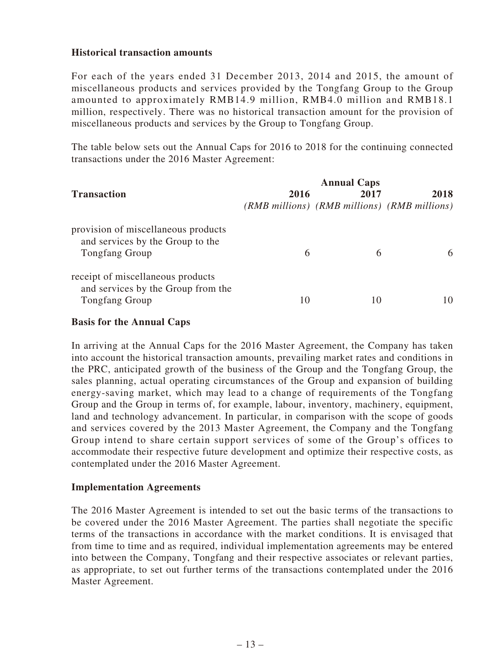#### **Historical transaction amounts**

For each of the years ended 31 December 2013, 2014 and 2015, the amount of miscellaneous products and services provided by the Tongfang Group to the Group amounted to approximately RMB14.9 million, RMB4.0 million and RMB18.1 million, respectively. There was no historical transaction amount for the provision of miscellaneous products and services by the Group to Tongfang Group.

The table below sets out the Annual Caps for 2016 to 2018 for the continuing connected transactions under the 2016 Master Agreement:

| <b>Transaction</b>                                                                               | 2016 | <b>Annual Caps</b><br>2017 | 2018<br>(RMB millions) (RMB millions) (RMB millions) |
|--------------------------------------------------------------------------------------------------|------|----------------------------|------------------------------------------------------|
| provision of miscellaneous products<br>and services by the Group to the<br><b>Tongfang Group</b> | 6    | 6                          | 6                                                    |
| receipt of miscellaneous products<br>and services by the Group from the<br><b>Tongfang Group</b> | 10   |                            |                                                      |

#### **Basis for the Annual Caps**

In arriving at the Annual Caps for the 2016 Master Agreement, the Company has taken into account the historical transaction amounts, prevailing market rates and conditions in the PRC, anticipated growth of the business of the Group and the Tongfang Group, the sales planning, actual operating circumstances of the Group and expansion of building energy-saving market, which may lead to a change of requirements of the Tongfang Group and the Group in terms of, for example, labour, inventory, machinery, equipment, land and technology advancement. In particular, in comparison with the scope of goods and services covered by the 2013 Master Agreement, the Company and the Tongfang Group intend to share certain support services of some of the Group's offices to accommodate their respective future development and optimize their respective costs, as contemplated under the 2016 Master Agreement.

#### **Implementation Agreements**

The 2016 Master Agreement is intended to set out the basic terms of the transactions to be covered under the 2016 Master Agreement. The parties shall negotiate the specific terms of the transactions in accordance with the market conditions. It is envisaged that from time to time and as required, individual implementation agreements may be entered into between the Company, Tongfang and their respective associates or relevant parties, as appropriate, to set out further terms of the transactions contemplated under the 2016 Master Agreement.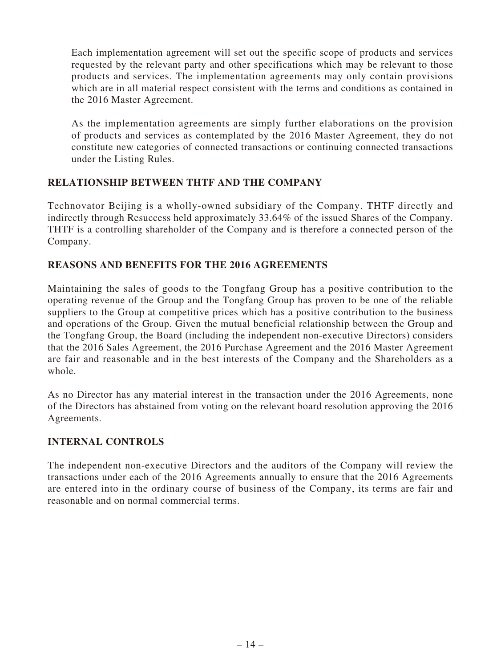Each implementation agreement will set out the specific scope of products and services requested by the relevant party and other specifications which may be relevant to those products and services. The implementation agreements may only contain provisions which are in all material respect consistent with the terms and conditions as contained in the 2016 Master Agreement.

As the implementation agreements are simply further elaborations on the provision of products and services as contemplated by the 2016 Master Agreement, they do not constitute new categories of connected transactions or continuing connected transactions under the Listing Rules.

# **RELATIONSHIP BETWEEN THTF AND THE COMPANY**

Technovator Beijing is a wholly-owned subsidiary of the Company. THTF directly and indirectly through Resuccess held approximately 33.64% of the issued Shares of the Company. THTF is a controlling shareholder of the Company and is therefore a connected person of the Company.

# **REASONS AND BENEFITS FOR THE 2016 AGREEMENTS**

Maintaining the sales of goods to the Tongfang Group has a positive contribution to the operating revenue of the Group and the Tongfang Group has proven to be one of the reliable suppliers to the Group at competitive prices which has a positive contribution to the business and operations of the Group. Given the mutual beneficial relationship between the Group and the Tongfang Group, the Board (including the independent non-executive Directors) considers that the 2016 Sales Agreement, the 2016 Purchase Agreement and the 2016 Master Agreement are fair and reasonable and in the best interests of the Company and the Shareholders as a whole.

As no Director has any material interest in the transaction under the 2016 Agreements, none of the Directors has abstained from voting on the relevant board resolution approving the 2016 Agreements.

# **INTERNAL CONTROLS**

The independent non-executive Directors and the auditors of the Company will review the transactions under each of the 2016 Agreements annually to ensure that the 2016 Agreements are entered into in the ordinary course of business of the Company, its terms are fair and reasonable and on normal commercial terms.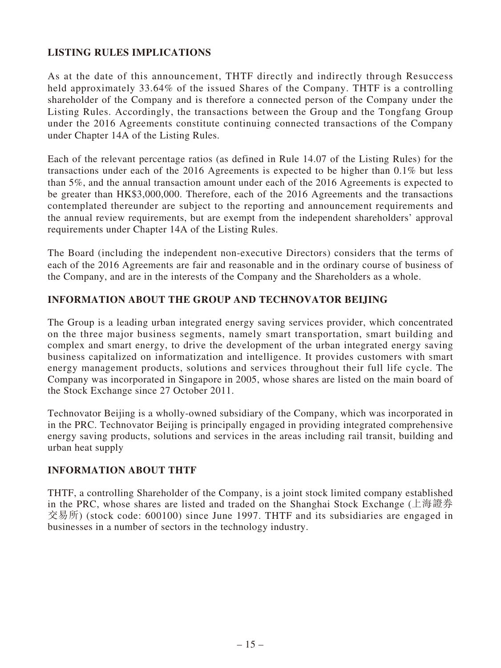# **LISTING RULES IMPLICATIONS**

As at the date of this announcement, THTF directly and indirectly through Resuccess held approximately 33.64% of the issued Shares of the Company. THTF is a controlling shareholder of the Company and is therefore a connected person of the Company under the Listing Rules. Accordingly, the transactions between the Group and the Tongfang Group under the 2016 Agreements constitute continuing connected transactions of the Company under Chapter 14A of the Listing Rules.

Each of the relevant percentage ratios (as defined in Rule 14.07 of the Listing Rules) for the transactions under each of the 2016 Agreements is expected to be higher than 0.1% but less than 5%, and the annual transaction amount under each of the 2016 Agreements is expected to be greater than HK\$3,000,000. Therefore, each of the 2016 Agreements and the transactions contemplated thereunder are subject to the reporting and announcement requirements and the annual review requirements, but are exempt from the independent shareholders' approval requirements under Chapter 14A of the Listing Rules.

The Board (including the independent non-executive Directors) considers that the terms of each of the 2016 Agreements are fair and reasonable and in the ordinary course of business of the Company, and are in the interests of the Company and the Shareholders as a whole.

#### **INFORMATION ABOUT THE GROUP AND TECHNOVATOR BEIJING**

The Group is a leading urban integrated energy saving services provider, which concentrated on the three major business segments, namely smart transportation, smart building and complex and smart energy, to drive the development of the urban integrated energy saving business capitalized on informatization and intelligence. It provides customers with smart energy management products, solutions and services throughout their full life cycle. The Company was incorporated in Singapore in 2005, whose shares are listed on the main board of the Stock Exchange since 27 October 2011.

Technovator Beijing is a wholly-owned subsidiary of the Company, which was incorporated in in the PRC. Technovator Beijing is principally engaged in providing integrated comprehensive energy saving products, solutions and services in the areas including rail transit, building and urban heat supply

#### **INFORMATION ABOUT THTF**

THTF, a controlling Shareholder of the Company, is a joint stock limited company established in the PRC, whose shares are listed and traded on the Shanghai Stock Exchange (上海證券 交易所) (stock code: 600100) since June 1997. THTF and its subsidiaries are engaged in businesses in a number of sectors in the technology industry.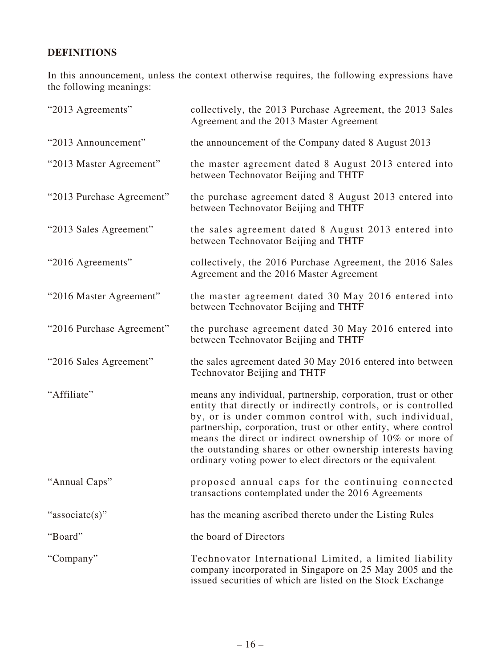# **DEFINITIONS**

In this announcement, unless the context otherwise requires, the following expressions have the following meanings:

| "2013 Agreements"         | collectively, the 2013 Purchase Agreement, the 2013 Sales<br>Agreement and the 2013 Master Agreement                                                                                                                                                                                                                                                                                                                                               |
|---------------------------|----------------------------------------------------------------------------------------------------------------------------------------------------------------------------------------------------------------------------------------------------------------------------------------------------------------------------------------------------------------------------------------------------------------------------------------------------|
| "2013 Announcement"       | the announcement of the Company dated 8 August 2013                                                                                                                                                                                                                                                                                                                                                                                                |
| "2013 Master Agreement"   | the master agreement dated 8 August 2013 entered into<br>between Technovator Beijing and THTF                                                                                                                                                                                                                                                                                                                                                      |
| "2013 Purchase Agreement" | the purchase agreement dated 8 August 2013 entered into<br>between Technovator Beijing and THTF                                                                                                                                                                                                                                                                                                                                                    |
| "2013 Sales Agreement"    | the sales agreement dated 8 August 2013 entered into<br>between Technovator Beijing and THTF                                                                                                                                                                                                                                                                                                                                                       |
| "2016 Agreements"         | collectively, the 2016 Purchase Agreement, the 2016 Sales<br>Agreement and the 2016 Master Agreement                                                                                                                                                                                                                                                                                                                                               |
| "2016 Master Agreement"   | the master agreement dated 30 May 2016 entered into<br>between Technovator Beijing and THTF                                                                                                                                                                                                                                                                                                                                                        |
| "2016 Purchase Agreement" | the purchase agreement dated 30 May 2016 entered into<br>between Technovator Beijing and THTF                                                                                                                                                                                                                                                                                                                                                      |
| "2016 Sales Agreement"    | the sales agreement dated 30 May 2016 entered into between<br>Technovator Beijing and THTF                                                                                                                                                                                                                                                                                                                                                         |
| "Affiliate"               | means any individual, partnership, corporation, trust or other<br>entity that directly or indirectly controls, or is controlled<br>by, or is under common control with, such individual,<br>partnership, corporation, trust or other entity, where control<br>means the direct or indirect ownership of 10% or more of<br>the outstanding shares or other ownership interests having<br>ordinary voting power to elect directors or the equivalent |
| "Annual Caps"             | proposed annual caps for the continuing connected<br>transactions contemplated under the 2016 Agreements                                                                                                                                                                                                                                                                                                                                           |
| "associate(s)"            | has the meaning ascribed thereto under the Listing Rules                                                                                                                                                                                                                                                                                                                                                                                           |
| "Board"                   | the board of Directors                                                                                                                                                                                                                                                                                                                                                                                                                             |
| "Company"                 | Technovator International Limited, a limited liability<br>company incorporated in Singapore on 25 May 2005 and the<br>issued securities of which are listed on the Stock Exchange                                                                                                                                                                                                                                                                  |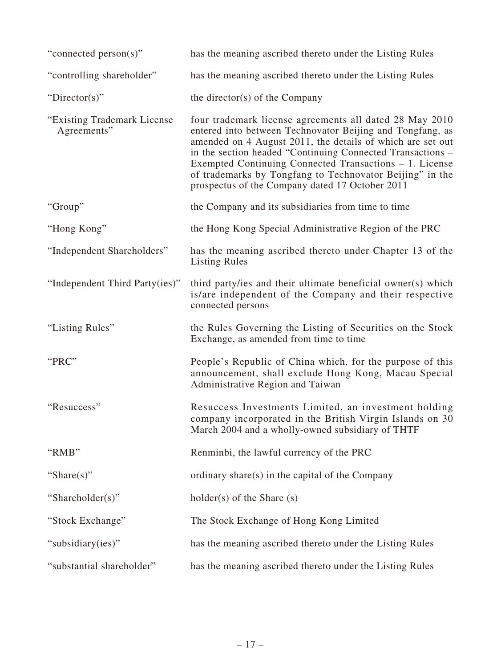| "connected person(s)"                       | has the meaning ascribed thereto under the Listing Rules                                                                                                                                                                                                                                                                                                                                                                   |
|---------------------------------------------|----------------------------------------------------------------------------------------------------------------------------------------------------------------------------------------------------------------------------------------------------------------------------------------------------------------------------------------------------------------------------------------------------------------------------|
| "controlling shareholder"                   | has the meaning ascribed thereto under the Listing Rules                                                                                                                                                                                                                                                                                                                                                                   |
| "Director(s)"                               | the director(s) of the Company                                                                                                                                                                                                                                                                                                                                                                                             |
| "Existing Trademark License"<br>Agreements" | four trademark license agreements all dated 28 May 2010<br>entered into between Technovator Beijing and Tongfang, as<br>amended on 4 August 2011, the details of which are set out<br>in the section headed "Continuing Connected Transactions -<br>Exempted Continuing Connected Transactions – 1. License<br>of trademarks by Tongfang to Technovator Beijing" in the<br>prospectus of the Company dated 17 October 2011 |
| "Group"                                     | the Company and its subsidiaries from time to time                                                                                                                                                                                                                                                                                                                                                                         |
| "Hong Kong"                                 | the Hong Kong Special Administrative Region of the PRC                                                                                                                                                                                                                                                                                                                                                                     |
| "Independent Shareholders"                  | has the meaning ascribed thereto under Chapter 13 of the<br><b>Listing Rules</b>                                                                                                                                                                                                                                                                                                                                           |
| "Independent Third Party(ies)"              | third party/ies and their ultimate beneficial owner(s) which<br>is/are independent of the Company and their respective<br>connected persons                                                                                                                                                                                                                                                                                |
| "Listing Rules"                             | the Rules Governing the Listing of Securities on the Stock<br>Exchange, as amended from time to time                                                                                                                                                                                                                                                                                                                       |
| "PRC"                                       | People's Republic of China which, for the purpose of this<br>announcement, shall exclude Hong Kong, Macau Special<br>Administrative Region and Taiwan                                                                                                                                                                                                                                                                      |
| "Resuccess"                                 | Resuccess Investments Limited, an investment holding<br>company incorporated in the British Virgin Islands on 30<br>March 2004 and a wholly-owned subsidiary of THTF                                                                                                                                                                                                                                                       |
| "RMB"                                       | Renminbi, the lawful currency of the PRC                                                                                                                                                                                                                                                                                                                                                                                   |
| "Share $(s)$ "                              | ordinary share(s) in the capital of the Company                                                                                                                                                                                                                                                                                                                                                                            |
| "Shareholder(s)"                            | $holder(s)$ of the Share $(s)$                                                                                                                                                                                                                                                                                                                                                                                             |
| "Stock Exchange"                            | The Stock Exchange of Hong Kong Limited                                                                                                                                                                                                                                                                                                                                                                                    |
| "subsidiary(ies)"                           | has the meaning ascribed thereto under the Listing Rules                                                                                                                                                                                                                                                                                                                                                                   |
| "substantial shareholder"                   | has the meaning ascribed thereto under the Listing Rules                                                                                                                                                                                                                                                                                                                                                                   |